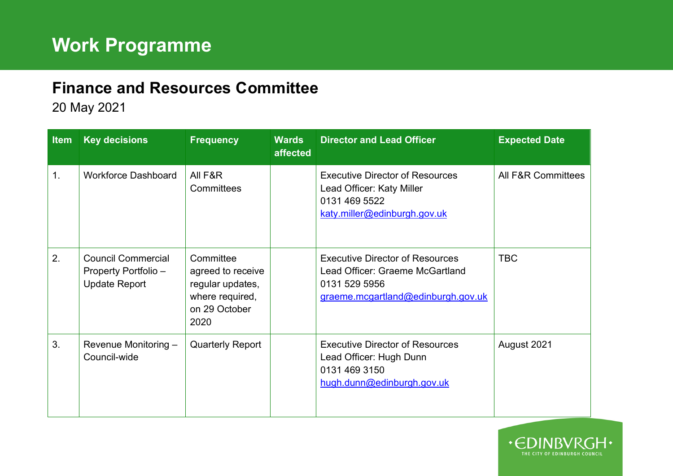## **Finance and Resources Committee**

20 May 2021

| <b>Item</b> | <b>Key decisions</b>                                                      | <b>Frequency</b>                                                                               | <b>Wards</b><br>affected | <b>Director and Lead Officer</b>                                                                                                 | <b>Expected Date</b>          |
|-------------|---------------------------------------------------------------------------|------------------------------------------------------------------------------------------------|--------------------------|----------------------------------------------------------------------------------------------------------------------------------|-------------------------------|
| 1.          | <b>Workforce Dashboard</b>                                                | All F&R<br>Committees                                                                          |                          | <b>Executive Director of Resources</b><br>Lead Officer: Katy Miller<br>0131 469 5522<br>katy.miller@edinburgh.gov.uk             | <b>All F&amp;R Committees</b> |
| 2.          | <b>Council Commercial</b><br>Property Portfolio -<br><b>Update Report</b> | Committee<br>agreed to receive<br>regular updates,<br>where required,<br>on 29 October<br>2020 |                          | <b>Executive Director of Resources</b><br>Lead Officer: Graeme McGartland<br>0131 529 5956<br>graeme.mcgartland@edinburgh.gov.uk | <b>TBC</b>                    |
| 3.          | Revenue Monitoring -<br>Council-wide                                      | <b>Quarterly Report</b>                                                                        |                          | <b>Executive Director of Resources</b><br>Lead Officer: Hugh Dunn<br>0131 469 3150<br>hugh.dunn@edinburgh.gov.uk                 | August 2021                   |

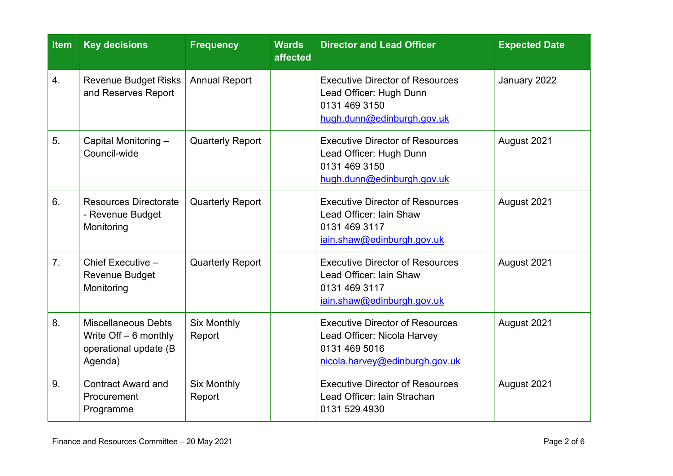| <b>Item</b>    | <b>Key decisions</b>                                                                      | <b>Frequency</b>             | <b>Wards</b><br>affected | <b>Director and Lead Officer</b>                                                                                         | <b>Expected Date</b> |
|----------------|-------------------------------------------------------------------------------------------|------------------------------|--------------------------|--------------------------------------------------------------------------------------------------------------------------|----------------------|
| 4.             | <b>Revenue Budget Risks</b><br>and Reserves Report                                        | <b>Annual Report</b>         |                          | <b>Executive Director of Resources</b><br>Lead Officer: Hugh Dunn<br>0131 469 3150<br>hugh.dunn@edinburgh.gov.uk         | January 2022         |
| 5.             | Capital Monitoring -<br>Council-wide                                                      | <b>Quarterly Report</b>      |                          | <b>Executive Director of Resources</b><br>Lead Officer: Hugh Dunn<br>0131 469 3150<br>hugh.dunn@edinburgh.gov.uk         | August 2021          |
| 6.             | <b>Resources Directorate</b><br>- Revenue Budget<br>Monitoring                            | <b>Quarterly Report</b>      |                          | <b>Executive Director of Resources</b><br>Lead Officer: Iain Shaw<br>0131 469 3117<br>iain.shaw@edinburgh.gov.uk         | August 2021          |
| 7 <sub>1</sub> | Chief Executive -<br><b>Revenue Budget</b><br>Monitoring                                  | <b>Quarterly Report</b>      |                          | <b>Executive Director of Resources</b><br>Lead Officer: Iain Shaw<br>0131 469 3117<br>iain.shaw@edinburgh.gov.uk         | August 2021          |
| 8.             | <b>Miscellaneous Debts</b><br>Write $Off - 6$ monthly<br>operational update (B<br>Agenda) | <b>Six Monthly</b><br>Report |                          | <b>Executive Director of Resources</b><br>Lead Officer: Nicola Harvey<br>0131 469 5016<br>nicola.harvey@edinburgh.gov.uk | August 2021          |
| 9.             | <b>Contract Award and</b><br>Procurement<br>Programme                                     | <b>Six Monthly</b><br>Report |                          | <b>Executive Director of Resources</b><br>Lead Officer: Iain Strachan<br>0131 529 4930                                   | August 2021          |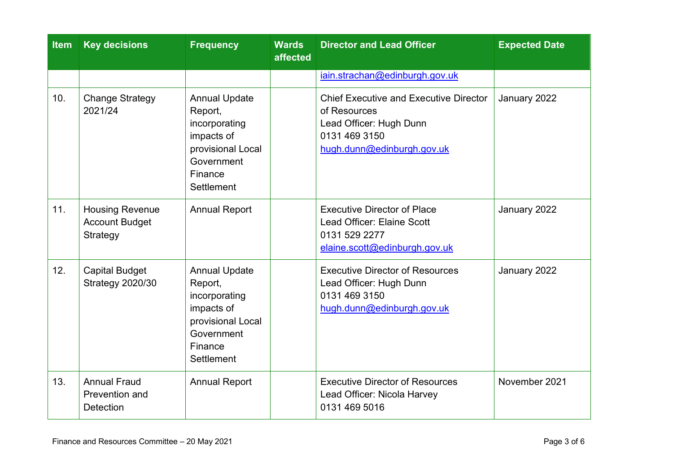| <b>Item</b> | <b>Key decisions</b>                                        | <b>Frequency</b>                                                                                                                  | <b>Wards</b><br>affected | <b>Director and Lead Officer</b>                                                                                                        | <b>Expected Date</b> |
|-------------|-------------------------------------------------------------|-----------------------------------------------------------------------------------------------------------------------------------|--------------------------|-----------------------------------------------------------------------------------------------------------------------------------------|----------------------|
|             |                                                             |                                                                                                                                   |                          | iain.strachan@edinburgh.gov.uk                                                                                                          |                      |
| 10.         | <b>Change Strategy</b><br>2021/24                           | <b>Annual Update</b><br>Report,<br>incorporating<br>impacts of<br>provisional Local<br>Government<br>Finance<br>Settlement        |                          | <b>Chief Executive and Executive Director</b><br>of Resources<br>Lead Officer: Hugh Dunn<br>0131 469 3150<br>hugh.dunn@edinburgh.gov.uk | January 2022         |
| 11.         | <b>Housing Revenue</b><br><b>Account Budget</b><br>Strategy | <b>Annual Report</b>                                                                                                              |                          | <b>Executive Director of Place</b><br>Lead Officer: Elaine Scott<br>0131 529 2277<br>elaine.scott@edinburgh.gov.uk                      | January 2022         |
| 12.         | <b>Capital Budget</b><br><b>Strategy 2020/30</b>            | <b>Annual Update</b><br>Report,<br>incorporating<br>impacts of<br>provisional Local<br>Government<br>Finance<br><b>Settlement</b> |                          | <b>Executive Director of Resources</b><br>Lead Officer: Hugh Dunn<br>0131 469 3150<br>hugh.dunn@edinburgh.gov.uk                        | January 2022         |
| 13.         | <b>Annual Fraud</b><br>Prevention and<br><b>Detection</b>   | <b>Annual Report</b>                                                                                                              |                          | <b>Executive Director of Resources</b><br>Lead Officer: Nicola Harvey<br>0131 469 5016                                                  | November 2021        |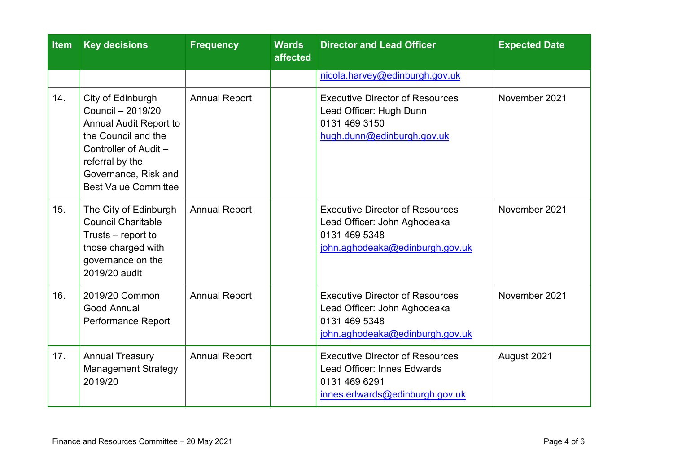| <b>Item</b> | <b>Key decisions</b>                                                                                                                                                                              | <b>Frequency</b>     | <b>Wards</b><br>affected | <b>Director and Lead Officer</b>                                                                                           | <b>Expected Date</b> |
|-------------|---------------------------------------------------------------------------------------------------------------------------------------------------------------------------------------------------|----------------------|--------------------------|----------------------------------------------------------------------------------------------------------------------------|----------------------|
|             |                                                                                                                                                                                                   |                      |                          | nicola.harvey@edinburgh.gov.uk                                                                                             |                      |
| 14.         | City of Edinburgh<br>Council - 2019/20<br><b>Annual Audit Report to</b><br>the Council and the<br>Controller of Audit -<br>referral by the<br>Governance, Risk and<br><b>Best Value Committee</b> | <b>Annual Report</b> |                          | <b>Executive Director of Resources</b><br>Lead Officer: Hugh Dunn<br>0131 469 3150<br>hugh.dunn@edinburgh.gov.uk           | November 2021        |
| 15.         | The City of Edinburgh<br><b>Council Charitable</b><br>Trusts – report to<br>those charged with<br>governance on the<br>2019/20 audit                                                              | <b>Annual Report</b> |                          | <b>Executive Director of Resources</b><br>Lead Officer: John Aghodeaka<br>0131 469 5348<br>john.aghodeaka@edinburgh.gov.uk | November 2021        |
| 16.         | 2019/20 Common<br>Good Annual<br>Performance Report                                                                                                                                               | <b>Annual Report</b> |                          | <b>Executive Director of Resources</b><br>Lead Officer: John Aghodeaka<br>0131 469 5348<br>john.aghodeaka@edinburgh.gov.uk | November 2021        |
| 17.         | <b>Annual Treasury</b><br><b>Management Strategy</b><br>2019/20                                                                                                                                   | <b>Annual Report</b> |                          | <b>Executive Director of Resources</b><br>Lead Officer: Innes Edwards<br>0131 469 6291<br>innes.edwards@edinburgh.gov.uk   | August 2021          |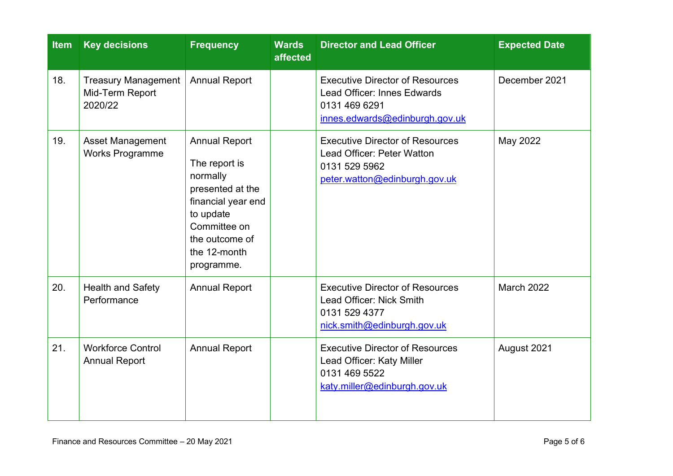| <b>Item</b> | <b>Key decisions</b>                                     | <b>Frequency</b>                                                                                                                                                         | <b>Wards</b><br>affected | <b>Director and Lead Officer</b>                                                                                         | <b>Expected Date</b> |
|-------------|----------------------------------------------------------|--------------------------------------------------------------------------------------------------------------------------------------------------------------------------|--------------------------|--------------------------------------------------------------------------------------------------------------------------|----------------------|
| 18.         | <b>Treasury Management</b><br>Mid-Term Report<br>2020/22 | <b>Annual Report</b>                                                                                                                                                     |                          | <b>Executive Director of Resources</b><br>Lead Officer: Innes Edwards<br>0131 469 6291<br>innes.edwards@edinburgh.gov.uk | December 2021        |
| 19.         | <b>Asset Management</b><br><b>Works Programme</b>        | <b>Annual Report</b><br>The report is<br>normally<br>presented at the<br>financial year end<br>to update<br>Committee on<br>the outcome of<br>the 12-month<br>programme. |                          | <b>Executive Director of Resources</b><br>Lead Officer: Peter Watton<br>0131 529 5962<br>peter.watton@edinburgh.gov.uk   | May 2022             |
| 20.         | <b>Health and Safety</b><br>Performance                  | <b>Annual Report</b>                                                                                                                                                     |                          | <b>Executive Director of Resources</b><br>Lead Officer: Nick Smith<br>0131 529 4377<br>nick.smith@edinburgh.gov.uk       | <b>March 2022</b>    |
| 21.         | <b>Workforce Control</b><br><b>Annual Report</b>         | <b>Annual Report</b>                                                                                                                                                     |                          | <b>Executive Director of Resources</b><br>Lead Officer: Katy Miller<br>0131 469 5522<br>katy.miller@edinburgh.gov.uk     | August 2021          |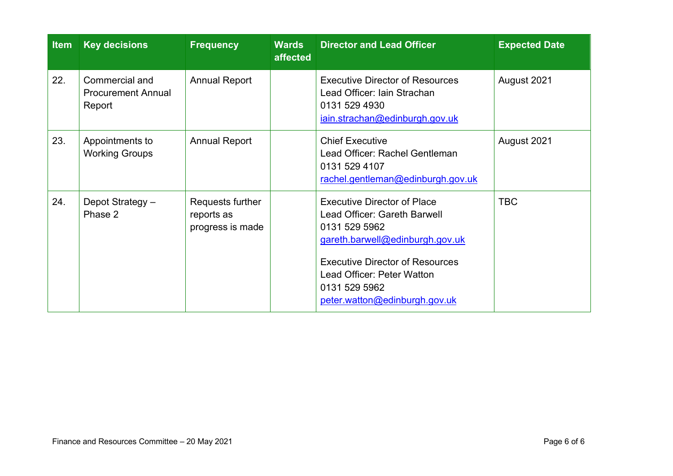| <b>Item</b> | <b>Key decisions</b>                                  | <b>Frequency</b>                                   | <b>Wards</b><br>affected | <b>Director and Lead Officer</b>                                                                                                                                                                                                                 | <b>Expected Date</b> |
|-------------|-------------------------------------------------------|----------------------------------------------------|--------------------------|--------------------------------------------------------------------------------------------------------------------------------------------------------------------------------------------------------------------------------------------------|----------------------|
| 22.         | Commercial and<br><b>Procurement Annual</b><br>Report | <b>Annual Report</b>                               |                          | <b>Executive Director of Resources</b><br>Lead Officer: Iain Strachan<br>0131 529 4930<br>iain.strachan@edinburgh.gov.uk                                                                                                                         | August 2021          |
| 23.         | Appointments to<br><b>Working Groups</b>              | <b>Annual Report</b>                               |                          | <b>Chief Executive</b><br>Lead Officer: Rachel Gentleman<br>0131 529 4107<br>rachel.gentleman@edinburgh.gov.uk                                                                                                                                   | August 2021          |
| 24.         | Depot Strategy -<br>Phase 2                           | Requests further<br>reports as<br>progress is made |                          | <b>Executive Director of Place</b><br>Lead Officer: Gareth Barwell<br>0131 529 5962<br>gareth.barwell@edinburgh.gov.uk<br><b>Executive Director of Resources</b><br>Lead Officer: Peter Watton<br>0131 529 5962<br>peter.watton@edinburgh.gov.uk | <b>TBC</b>           |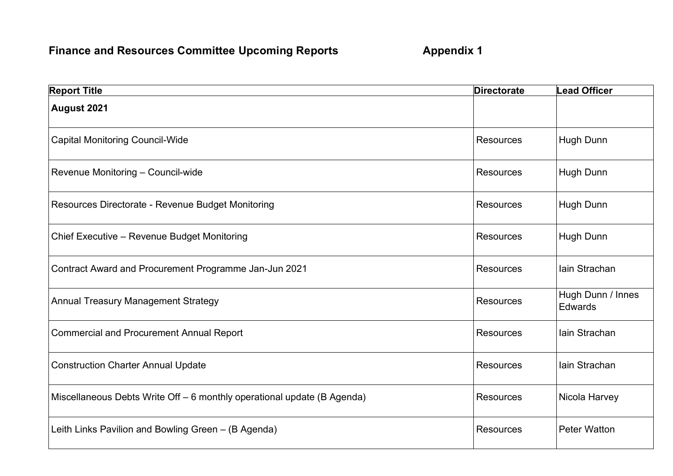## **Finance and Resources Committee Upcoming Reports 6 Appendix 1**

| <b>Report Title</b>                                                     | <b>Directorate</b> | <b>Lead Officer</b>          |
|-------------------------------------------------------------------------|--------------------|------------------------------|
| August 2021                                                             |                    |                              |
| <b>Capital Monitoring Council-Wide</b>                                  | <b>Resources</b>   | Hugh Dunn                    |
| Revenue Monitoring - Council-wide                                       | <b>Resources</b>   | Hugh Dunn                    |
| Resources Directorate - Revenue Budget Monitoring                       | <b>Resources</b>   | Hugh Dunn                    |
| Chief Executive - Revenue Budget Monitoring                             | <b>Resources</b>   | Hugh Dunn                    |
| Contract Award and Procurement Programme Jan-Jun 2021                   | <b>Resources</b>   | lain Strachan                |
| <b>Annual Treasury Management Strategy</b>                              | Resources          | Hugh Dunn / Innes<br>Edwards |
| <b>Commercial and Procurement Annual Report</b>                         | <b>Resources</b>   | lain Strachan                |
| <b>Construction Charter Annual Update</b>                               | <b>Resources</b>   | lain Strachan                |
| Miscellaneous Debts Write Off - 6 monthly operational update (B Agenda) | <b>Resources</b>   | Nicola Harvey                |
| Leith Links Pavilion and Bowling Green - (B Agenda)                     | <b>Resources</b>   | <b>Peter Watton</b>          |